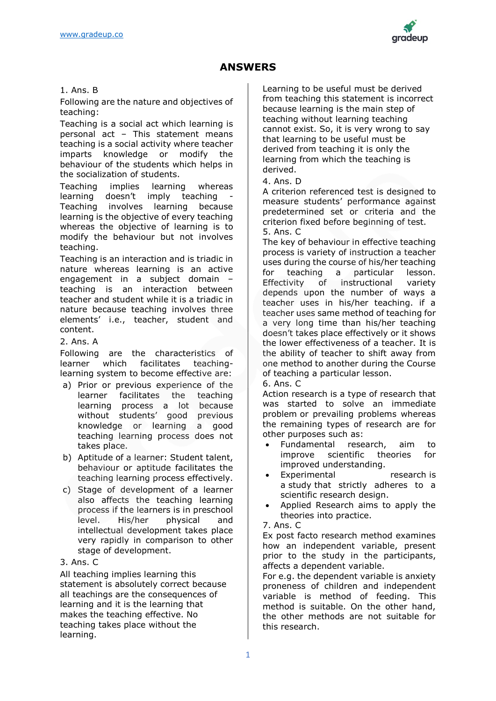

# **ANSWERS**

### 1. Ans. B

Following are the nature and objectives of teaching:

Teaching is a social act which learning is personal act – This statement means teaching is a social activity where teacher imparts knowledge or modify the behaviour of the students which helps in the socialization of students.

Teaching implies learning whereas learning doesn't imply teaching Teaching involves learning because learning is the objective of every teaching whereas the objective of learning is to modify the behaviour but not involves teaching.

Teaching is an interaction and is triadic in nature whereas learning is an active engagement in a subject domain – teaching is an interaction between teacher and student while it is a triadic in nature because teaching involves three elements' i.e., teacher, student and content.

## 2. Ans. A

Following are the characteristics of learner which facilitates teachinglearning system to become effective are:

- a) Prior or previous experience of the learner facilitates the teaching learning process a lot because without students' good previous knowledge or learning a good teaching learning process does not takes place.
- b) Aptitude of a learner: Student talent, behaviour or aptitude facilitates the teaching learning process effectively.
- c) Stage of development of a learner also affects the teaching learning process if the learners is in preschool level. His/her physical and intellectual development takes place very rapidly in comparison to other stage of development.

#### 3. Ans. C

All teaching implies learning this statement is absolutely correct because all teachings are the consequences of learning and it is the learning that makes the teaching effective. No teaching takes place without the learning.

Learning to be useful must be derived from teaching this statement is incorrect because learning is the main step of teaching without learning teaching cannot exist. So, it is very wrong to say that learning to be useful must be derived from teaching it is only the learning from which the teaching is derived.

#### 4. Ans. D

A criterion referenced test is designed to measure students' performance against predetermined set or criteria and the criterion fixed before beginning of test. 5. Ans. C

The key of behaviour in effective teaching process is variety of instruction a teacher uses during the course of his/her teaching for teaching a particular lesson. Effectivity of instructional variety depends upon the number of ways a teacher uses in his/her teaching. if a teacher uses same method of teaching for a very long time than his/her teaching doesn't takes place effectively or it shows the lower effectiveness of a teacher. It is the ability of teacher to shift away from one method to another during the Course of teaching a particular lesson.

#### 6. Ans. C

Action research is a type of research that was started to solve an immediate problem or prevailing problems whereas the remaining types of research are for other purposes such as:

- Fundamental research, aim to improve scientific theories for improved understanding.
- Experimental research is a study that strictly adheres to a scientific research design.
- Applied Research aims to apply the theories into practice.
- 7. Ans. C

Ex post facto research method examines how an independent variable, present prior to the study in the participants, affects a dependent variable.

For e.g. the dependent variable is anxiety proneness of children and independent variable is method of feeding. This method is suitable. On the other hand, the other methods are not suitable for this research.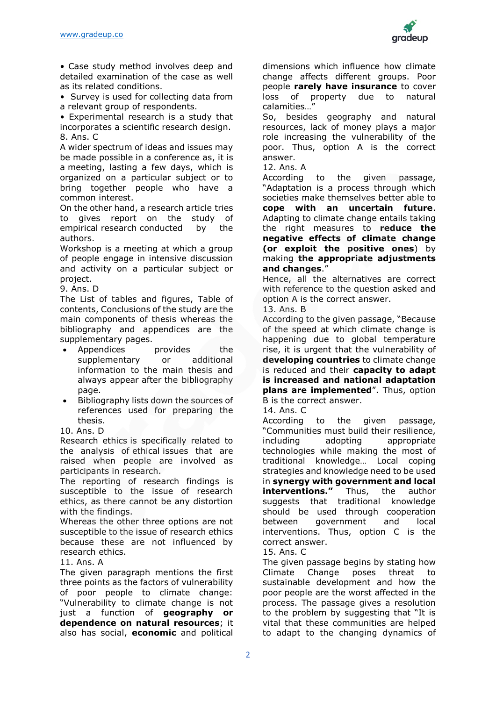

• Case study method involves deep and detailed examination of the case as well as its related conditions.

• Survey is used for collecting data from

a relevant group of respondents.

• Experimental research is a study that incorporates a scientific research design. 8. Ans. C

A wider spectrum of ideas and issues may be made possible in a conference as, it is a meeting, lasting a few days, which is organized on a particular subject or to bring together people who have a common interest.

On the other hand, a research article tries to gives report on the study of empirical research conducted by the authors.

Workshop is a meeting at which a group of people engage in intensive discussion and activity on a particular subject or project.

9. Ans. D

The List of tables and figures, Table of contents, Conclusions of the study are the main components of thesis whereas the bibliography and appendices are the supplementary pages.

- Appendices **provides** the supplementary or additional information to the main thesis and always appear after the bibliography page.
- Bibliography lists down the sources of references used for preparing the thesis.
- 10. Ans. D

Research ethics is specifically related to the analysis of ethical issues that are raised when people are involved as participants in research.

The reporting of research findings is susceptible to the issue of research ethics, as there cannot be any distortion with the findings.

Whereas the other three options are not susceptible to the issue of research ethics because these are not influenced by research ethics.

11. Ans. A

The given paragraph mentions the first three points as the factors of vulnerability of poor people to climate change: "Vulnerability to climate change is not just a function of **geography or dependence on natural resources**; it also has social, **economic** and political dimensions which influence how climate change affects different groups. Poor people **rarely have insurance** to cover loss of property due to natural calamities…"

So, besides geography and natural resources, lack of money plays a major role increasing the vulnerability of the poor. Thus, option A is the correct answer.

12. Ans. A

According to the given passage, "Adaptation is a process through which societies make themselves better able to **cope with an uncertain future**. Adapting to climate change entails taking the right measures to **reduce the negative effects of climate change (or exploit the positive ones**) by making **the appropriate adjustments and changes**."

Hence, all the alternatives are correct with reference to the question asked and option A is the correct answer.

13. Ans. B

According to the given passage, "Because of the speed at which climate change is happening due to global temperature rise, it is urgent that the vulnerability of **developing countries** to climate change is reduced and their **capacity to adapt is increased and national adaptation plans are implemented**". Thus, option B is the correct answer.

14. Ans. C

According to the given passage, "Communities must build their resilience, including adopting appropriate technologies while making the most of traditional knowledge… Local coping strategies and knowledge need to be used in **synergy with government and local interventions."** Thus, the author suggests that traditional knowledge should be used through cooperation between government and local interventions. Thus, option C is the correct answer.

15. Ans. C

The given passage begins by stating how Climate Change poses threat to sustainable development and how the poor people are the worst affected in the process. The passage gives a resolution to the problem by suggesting that "It is vital that these communities are helped to adapt to the changing dynamics of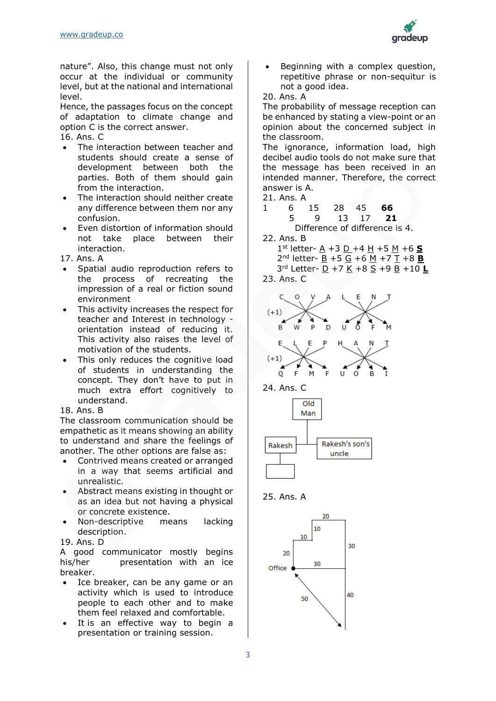

nature". Also, this change must not only occur at the individual or community level, but at the national and international level.

Hence, the passages focus on the concept of adaptation to climate change and option C is the correct answer.

16. Ans. C

- The interaction between teacher and students should create a sense of development between both the parties. Both of them should gain from the interaction.
- The interaction should neither create any difference between them nor any confusion.
- Even distortion of information should not take place between their interaction.

17. Ans. A

- Spatial audio reproduction refers to the process of recreating the impression of a real or fiction sound environment
- This activity increases the respect for teacher and Interest in technology orientation instead of reducing it. This activity also raises the level of motivation of the students.
- This only reduces the cognitive load of students in understanding the concept. They don't have to put in much extra effort cognitively to understand.

18. Ans. B

The classroom communication should be empathetic as it means showing an ability to understand and share the feelings of another. The other options are false as:

- Contrived means created or arranged in a way that seems artificial and unrealistic.
- Abstract means existing in thought or as an idea but not having a physical or concrete existence.
- Non-descriptive means lacking description.

19. Ans. D

A good communicator mostly begins his/her **presentation** with an ice breaker.

- Ice breaker, can be any game or an activity which is used to introduce people to each other and to make them feel relaxed and comfortable.
- It is an effective way to begin a presentation or training session.

Beginning with a complex question, repetitive phrase or non-sequitur is not a good idea.

20. Ans. A

The probability of message reception can be enhanced by stating a view-point or an opinion about the concerned subject in the classroom.

The ignorance, information load, high decibel audio tools do not make sure that the message has been received in an intended manner. Therefore, the correct answer is A.

21. Ans. A

- 1 6 15 28 45 **66** 5 9 13 17 **21** Difference of difference is 4.
- 22. Ans. B 1 st letter- A +3 D +4 H +5 M +6 **S** 2 nd letter- B +5 G +6 M +7 T +8 **B** 3 rd Letter- D +7 K +8 S +9 B +10 **L**

23. Ans. C









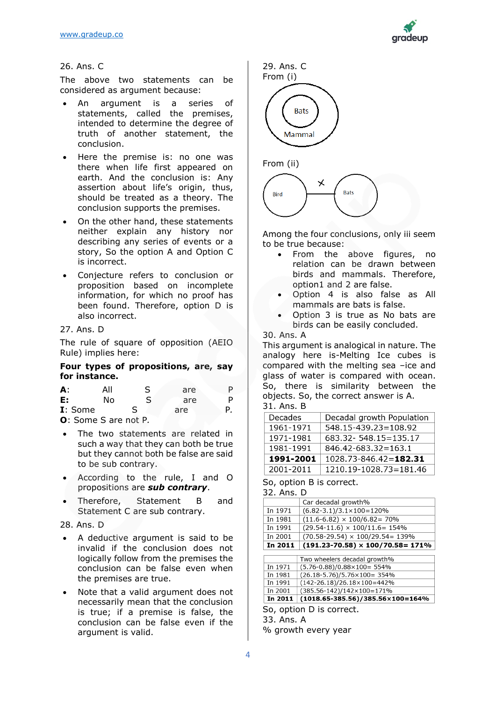

### 26. Ans. C

The above two statements can be considered as argument because:

- An argument is a series of statements, called the premises, intended to determine the degree of truth of another statement, the conclusion.
- Here the premise is: no one was there when life first appeared on earth. And the conclusion is: Any assertion about life's origin, thus, should be treated as a theory. The conclusion supports the premises.
- On the other hand, these statements neither explain any history nor describing any series of events or a story, So the option A and Option C is incorrect.
- Conjecture refers to conclusion or proposition based on incomplete information, for which no proof has been found. Therefore, option D is also incorrect.

#### 27. Ans. D

The rule of square of opposition (AEIO Rule) implies here:

#### **Four types of propositions, are, say for instance.**

| А:                                   | All | S | are |  |
|--------------------------------------|-----|---|-----|--|
| Е:                                   | N٥  |   | are |  |
| I: Some                              |     |   | are |  |
| $\mathsf{\Omega}$ : Some S are not P |     |   |     |  |

**O**: Some S are not P*.*

- The two statements are related in such a way that they can both be true but they cannot both be false are said to be sub contrary.
- According to the rule, I and O propositions are *sub contrary*.
- Therefore, Statement B and Statement C are sub contrary.

#### 28. Ans. D

- A deductive argument is said to be invalid if the conclusion does not logically follow from the premises the conclusion can be false even when the premises are true.
- Note that a valid argument does not necessarily mean that the conclusion is true; if a premise is false, the conclusion can be false even if the argument is valid.

29. Ans. C From (i) **Bats Mammal** 





Among the four conclusions, only iii seem to be true because:

- From the above figures, no relation can be drawn between birds and mammals. Therefore, option1 and 2 are false.
- Option 4 is also false as All mammals are bats is false.
- Option 3 is true as No bats are birds can be easily concluded.

#### 30. Ans. A

This argument is analogical in nature. The analogy here is-Melting Ice cubes is compared with the melting sea –ice and glass of water is compared with ocean. So, there is similarity between the objects. So, the correct answer is A. 31. Ans. B

| Decades   | Decadal growth Population   |
|-----------|-----------------------------|
| 1961-1971 | $548.15 - 439.23 = 108.92$  |
| 1971-1981 | 683.32 - 548.15 = 135.17    |
| 1981-1991 | $846.42 - 683.32 = 163.1$   |
| 1991-2001 | $1028.73 - 846.42 = 182.31$ |
| 2001-2011 | 1210.19-1028.73=181.46      |

## So, option B is correct.

32. Ans. D

|         | Car decadal growth%                         |  |  |  |
|---------|---------------------------------------------|--|--|--|
| In 1971 | $(6.82 - 3.1)/3.1 \times 100 = 120\%$       |  |  |  |
| In 1981 | $(11.6 - 6.82) \times 100/6.82 = 70\%$      |  |  |  |
| In 1991 | $(29.54-11.6) \times 100/11.6 = 154\%$      |  |  |  |
| In 2001 | $(70.58 - 29.54) \times 100/29.54 = 139\%$  |  |  |  |
| In 2011 | $(191.23 - 70.58) \times 100/70.58 = 171\%$ |  |  |  |
|         |                                             |  |  |  |
|         | Two wheelers decadal growth%                |  |  |  |
| In 1971 | $(5.76 - 0.88)/0.88 \times 100 = 554\%$     |  |  |  |

| In 2011 | $(1018.65-385.56)/385.56\times100=164\%$ |
|---------|------------------------------------------|
| In 2001 | $(385.56 - 142)/142 \times 100 = 171\%$  |
| In 1991 | $(142-26.18)/26.18\times100=442\%$       |
| In 1981 | $(26.18 - 5.76)/5.76 \times 100 = 354\%$ |
| In 1971 | $(5.76 - 0.88)/0.88 \times 100 = 554\%$  |
|         |                                          |

So, option D is correct. 33. Ans. A

% growth every year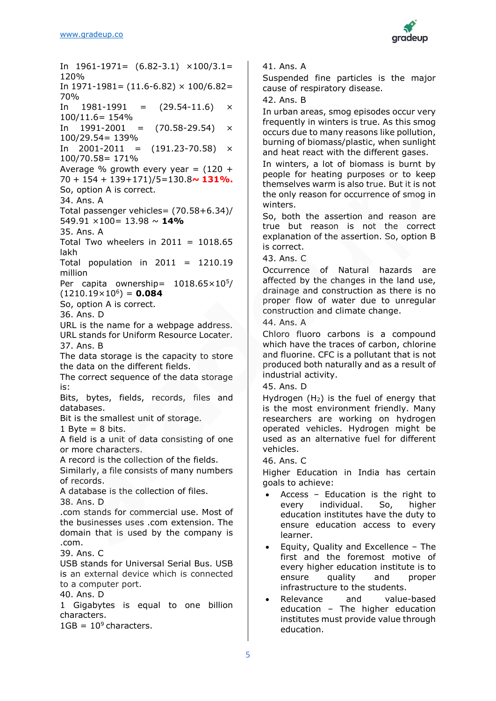

In  $1961-1971= (6.82-3.1) \times 100/3.1=$ 120% In  $1971-1981 = (11.6-6.82) \times 100/6.82=$ 70% In  $1981-1991 = (29.54-11.6)$  × 100/11.6= 154% In  $1991-2001 = (70.58-29.54)$  × 100/29.54= 139% In  $2001 - 2011 = (191.23 - 70.58)$  × 100/70.58= 171% Average % growth every year =  $(120 +$ 70 + 154 + 139+171)/5=130.8**~ 131%.** So, option A is correct. 34. Ans. A Total passenger vehicles= (70.58+6.34)/ 549.91 ×100= 13.98 ~ **14%** 35. Ans. A Total Two wheelers in  $2011 = 1018.65$ lakh Total population in  $2011 = 1210.19$ million Per capita ownership=  $1018.65 \times 10^{5}$  $(1210.19\times10^6) = 0.084$ So, option A is correct. 36. Ans. D URL is the name for a webpage address. URL stands for Uniform Resource Locater. 37. Ans. B The data storage is the capacity to store the data on the different fields. The correct sequence of the data storage is: Bits, bytes, fields, records, files and databases. Bit is the smallest unit of storage. 1 Byte  $= 8$  bits. A field is a unit of data consisting of one or more characters. A record is the collection of the fields. Similarly, a file consists of many numbers of records. A database is the collection of files. 38. Ans. D .com stands for commercial use. Most of the businesses uses .com extension. The domain that is used by the company is .com. 39. Ans. C USB stands for Universal Serial Bus. USB is an external device which is connected to a computer port. 40. Ans. D 1 Gigabytes is equal to one billion characters.  $1GB = 10<sup>9</sup>$  characters.

41. Ans. A

Suspended fine particles is the major cause of respiratory disease.

42. Ans. B

In urban areas, smog episodes occur very frequently in winters is true. As this smog occurs due to many reasons like pollution, burning of biomass/plastic, when sunlight and heat react with the different gases.

In winters, a lot of biomass is burnt by people for heating purposes or to keep themselves warm is also true. But it is not the only reason for occurrence of smog in winters.

So, both the assertion and reason are true but reason is not the correct explanation of the assertion. So, option B is correct.

43. Ans. C

Occurrence of Natural hazards are affected by the changes in the land use, drainage and construction as there is no proper flow of water due to unregular construction and climate change.

44. Ans. A

Chloro fluoro carbons is a compound which have the traces of carbon, chlorine and fluorine. CFC is a pollutant that is not produced both naturally and as a result of industrial activity.

45. Ans. D

Hydrogen (H2) is the fuel of energy that is the most environment friendly. Many researchers are working on hydrogen operated vehicles. Hydrogen might be used as an alternative fuel for different vehicles.

46. Ans. C

Higher Education in India has certain goals to achieve:

- Access Education is the right to every individual. So, higher education institutes have the duty to ensure education access to every learner.
- Equity, Quality and Excellence The first and the foremost motive of every higher education institute is to ensure quality and proper infrastructure to the students.
- Relevance and value-based education – The higher education institutes must provide value through education.